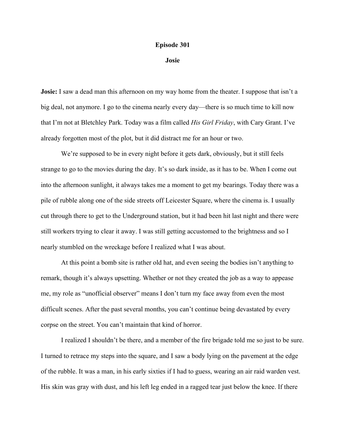## **Episode 301**

**Josie**

**Josie:** I saw a dead man this afternoon on my way home from the theater. I suppose that isn't a big deal, not anymore. I go to the cinema nearly every day—there is so much time to kill now that I'm not at Bletchley Park. Today was a film called *His Girl Friday*, with Cary Grant. I've already forgotten most of the plot, but it did distract me for an hour or two.

We're supposed to be in every night before it gets dark, obviously, but it still feels strange to go to the movies during the day. It's so dark inside, as it has to be. When I come out into the afternoon sunlight, it always takes me a moment to get my bearings. Today there was a pile of rubble along one of the side streets off Leicester Square, where the cinema is. I usually cut through there to get to the Underground station, but it had been hit last night and there were still workers trying to clear it away. I was still getting accustomed to the brightness and so I nearly stumbled on the wreckage before I realized what I was about.

At this point a bomb site is rather old hat, and even seeing the bodies isn't anything to remark, though it's always upsetting. Whether or not they created the job as a way to appease me, my role as "unofficial observer" means I don't turn my face away from even the most difficult scenes. After the past several months, you can't continue being devastated by every corpse on the street. You can't maintain that kind of horror.

I realized I shouldn't be there, and a member of the fire brigade told me so just to be sure. I turned to retrace my steps into the square, and I saw a body lying on the pavement at the edge of the rubble. It was a man, in his early sixties if I had to guess, wearing an air raid warden vest. His skin was gray with dust, and his left leg ended in a ragged tear just below the knee. If there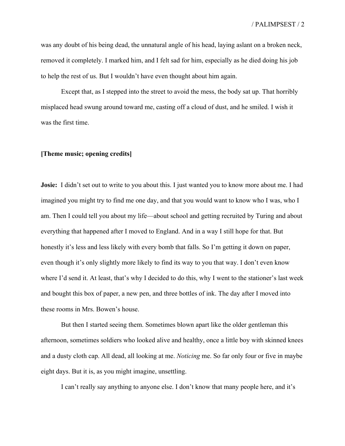was any doubt of his being dead, the unnatural angle of his head, laying aslant on a broken neck, removed it completely. I marked him, and I felt sad for him, especially as he died doing his job to help the rest of us. But I wouldn't have even thought about him again.

Except that, as I stepped into the street to avoid the mess, the body sat up. That horribly misplaced head swung around toward me, casting off a cloud of dust, and he smiled. I wish it was the first time.

## **[Theme music; opening credits]**

**Josie:** I didn't set out to write to you about this. I just wanted you to know more about me. I had imagined you might try to find me one day, and that you would want to know who I was, who I am. Then I could tell you about my life—about school and getting recruited by Turing and about everything that happened after I moved to England. And in a way I still hope for that. But honestly it's less and less likely with every bomb that falls. So I'm getting it down on paper, even though it's only slightly more likely to find its way to you that way. I don't even know where I'd send it. At least, that's why I decided to do this, why I went to the stationer's last week and bought this box of paper, a new pen, and three bottles of ink. The day after I moved into these rooms in Mrs. Bowen's house.

But then I started seeing them. Sometimes blown apart like the older gentleman this afternoon, sometimes soldiers who looked alive and healthy, once a little boy with skinned knees and a dusty cloth cap. All dead, all looking at me. *Noticing* me. So far only four or five in maybe eight days. But it is, as you might imagine, unsettling.

I can't really say anything to anyone else. I don't know that many people here, and it's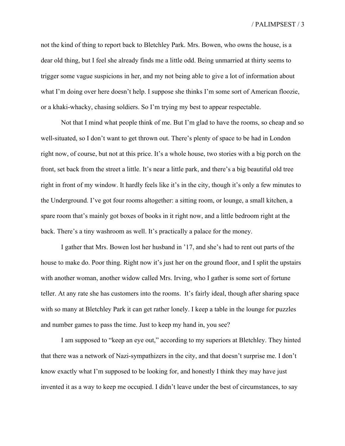not the kind of thing to report back to Bletchley Park. Mrs. Bowen, who owns the house, is a dear old thing, but I feel she already finds me a little odd. Being unmarried at thirty seems to trigger some vague suspicions in her, and my not being able to give a lot of information about what I'm doing over here doesn't help. I suppose she thinks I'm some sort of American floozie, or a khaki-whacky, chasing soldiers. So I'm trying my best to appear respectable.

Not that I mind what people think of me. But I'm glad to have the rooms, so cheap and so well-situated, so I don't want to get thrown out. There's plenty of space to be had in London right now, of course, but not at this price. It's a whole house, two stories with a big porch on the front, set back from the street a little. It's near a little park, and there's a big beautiful old tree right in front of my window. It hardly feels like it's in the city, though it's only a few minutes to the Underground. I've got four rooms altogether: a sitting room, or lounge, a small kitchen, a spare room that's mainly got boxes of books in it right now, and a little bedroom right at the back. There's a tiny washroom as well. It's practically a palace for the money.

I gather that Mrs. Bowen lost her husband in '17, and she's had to rent out parts of the house to make do. Poor thing. Right now it's just her on the ground floor, and I split the upstairs with another woman, another widow called Mrs. Irving, who I gather is some sort of fortune teller. At any rate she has customers into the rooms. It's fairly ideal, though after sharing space with so many at Bletchley Park it can get rather lonely. I keep a table in the lounge for puzzles and number games to pass the time. Just to keep my hand in, you see?

I am supposed to "keep an eye out," according to my superiors at Bletchley. They hinted that there was a network of Nazi-sympathizers in the city, and that doesn't surprise me. I don't know exactly what I'm supposed to be looking for, and honestly I think they may have just invented it as a way to keep me occupied. I didn't leave under the best of circumstances, to say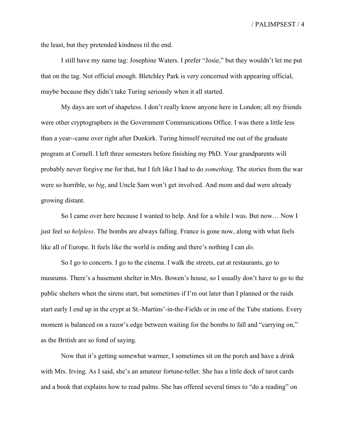the least, but they pretended kindness til the end.

I still have my name tag: Josephine Waters. I prefer "Josie," but they wouldn't let me put that on the tag. Not official enough. Bletchley Park is very concerned with appearing official, maybe because they didn't take Turing seriously when it all started.

My days are sort of shapeless. I don't really know anyone here in London; all my friends were other cryptographers in the Government Communications Office. I was there a little less than a year--came over right after Dunkirk. Turing himself recruited me out of the graduate program at Cornell. I left three semesters before finishing my PhD. Your grandparents will probably never forgive me for that, but I felt like I had to do *something*. The stories from the war were so horrible, so *big*, and Uncle Sam won't get involved. And mom and dad were already growing distant.

So I came over here because I wanted to help. And for a while I was. But now… Now I just feel so *helpless*. The bombs are always falling. France is gone now, along with what feels like all of Europe. It feels like the world is ending and there's nothing I can *do.*

So I go to concerts. I go to the cinema. I walk the streets, eat at restaurants, go to museums. There's a basement shelter in Mrs. Bowen's house, so I usually don't have to go to the public shelters when the sirens start, but sometimes if I'm out later than I planned or the raids start early I end up in the crypt at St.-Martins'-in-the-Fields or in one of the Tube stations. Every moment is balanced on a razor's edge between waiting for the bombs to fall and "carrying on," as the British are so fond of saying.

Now that it's getting somewhat warmer, I sometimes sit on the porch and have a drink with Mrs. Irving. As I said, she's an amateur fortune-teller. She has a little deck of tarot cards and a book that explains how to read palms. She has offered several times to "do a reading" on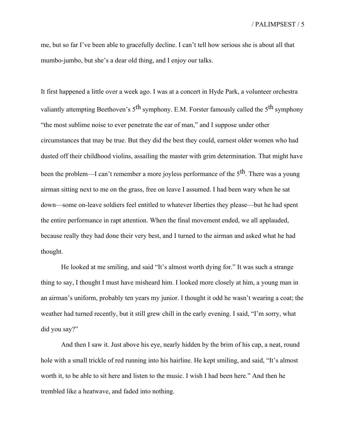me, but so far I've been able to gracefully decline. I can't tell how serious she is about all that mumbo-jumbo, but she's a dear old thing, and I enjoy our talks.

It first happened a little over a week ago. I was at a concert in Hyde Park, a volunteer orchestra valiantly attempting Beethoven's  $5<sup>th</sup>$  symphony. E.M. Forster famously called the  $5<sup>th</sup>$  symphony "the most sublime noise to ever penetrate the ear of man," and I suppose under other circumstances that may be true. But they did the best they could, earnest older women who had dusted off their childhood violins, assailing the master with grim determination. That might have been the problem—I can't remember a more joyless performance of the  $5<sup>th</sup>$ . There was a young airman sitting next to me on the grass, free on leave I assumed. I had been wary when he sat down—some on-leave soldiers feel entitled to whatever liberties they please—but he had spent the entire performance in rapt attention. When the final movement ended, we all applauded, because really they had done their very best, and I turned to the airman and asked what he had thought.

He looked at me smiling, and said "It's almost worth dying for." It was such a strange thing to say, I thought I must have misheard him. I looked more closely at him, a young man in an airman's uniform, probably ten years my junior. I thought it odd he wasn't wearing a coat; the weather had turned recently, but it still grew chill in the early evening. I said, "I'm sorry, what did you say?"

And then I saw it. Just above his eye, nearly hidden by the brim of his cap, a neat, round hole with a small trickle of red running into his hairline. He kept smiling, and said, "It's almost worth it, to be able to sit here and listen to the music. I wish I had been here." And then he trembled like a heatwave, and faded into nothing.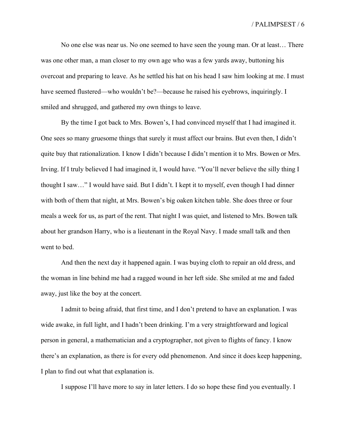No one else was near us. No one seemed to have seen the young man. Or at least… There was one other man, a man closer to my own age who was a few yards away, buttoning his overcoat and preparing to leave. As he settled his hat on his head I saw him looking at me. I must have seemed flustered—who wouldn't be?—because he raised his eyebrows, inquiringly. I smiled and shrugged, and gathered my own things to leave.

By the time I got back to Mrs. Bowen's, I had convinced myself that I had imagined it. One sees so many gruesome things that surely it must affect our brains. But even then, I didn't quite buy that rationalization. I know I didn't because I didn't mention it to Mrs. Bowen or Mrs. Irving. If I truly believed I had imagined it, I would have. "You'll never believe the silly thing I thought I saw…" I would have said. But I didn't. I kept it to myself, even though I had dinner with both of them that night, at Mrs. Bowen's big oaken kitchen table. She does three or four meals a week for us, as part of the rent. That night I was quiet, and listened to Mrs. Bowen talk about her grandson Harry, who is a lieutenant in the Royal Navy. I made small talk and then went to bed.

And then the next day it happened again. I was buying cloth to repair an old dress, and the woman in line behind me had a ragged wound in her left side. She smiled at me and faded away, just like the boy at the concert.

I admit to being afraid, that first time, and I don't pretend to have an explanation. I was wide awake, in full light, and I hadn't been drinking. I'm a very straightforward and logical person in general, a mathematician and a cryptographer, not given to flights of fancy. I know there's an explanation, as there is for every odd phenomenon. And since it does keep happening, I plan to find out what that explanation is.

I suppose I'll have more to say in later letters. I do so hope these find you eventually. I